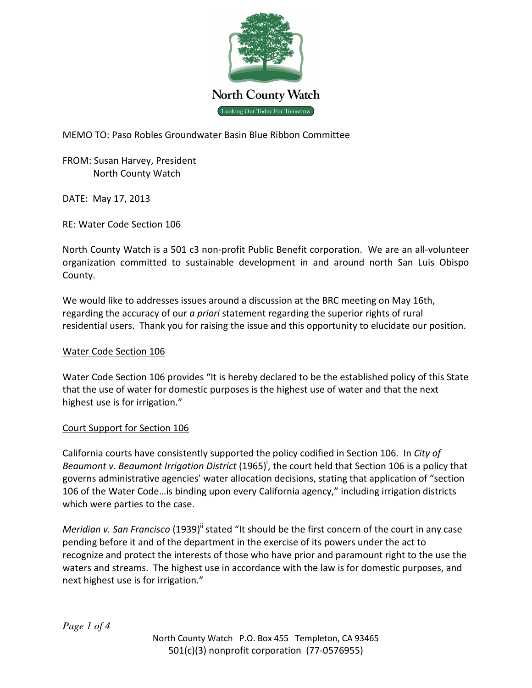

MEMO TO: Paso Robles Groundwater Basin Blue Ribbon Committee

FROM: Susan Harvey, President North County Watch

DATE: May 17, 2013

RE: Water Code Section 106

North County Watch is a 501 c3 non-profit Public Benefit corporation. We are an all-volunteer organization committed to sustainable development in and around north San Luis Obispo County.

We would like to addresses issues around a discussion at the BRC meeting on May 16th, regarding the accuracy of our a priori statement regarding the superior rights of rural residential users. Thank you for raising the issue and this opportunity to elucidate our position.

## Water Code Section 106

Water Code Section 106 provides "It is hereby declared to be the established policy of this State that the use of water for domestic purposes is the highest use of water and that the next highest use is for irrigation."

## Court Support for Section 106

California courts have consistently supported the policy codified in Section 106. In City of Beaumont v. Beaumont Irrigation District (1965)<sup>i</sup>, the court held that Section 106 is a policy that governs administrative agencies' water allocation decisions, stating that application of "section 106 of the Water Code…is binding upon every California agency," including irrigation districts which were parties to the case.

Meridian v. San Francisco (1939)" stated "It should be the first concern of the court in any case pending before it and of the department in the exercise of its powers under the act to recognize and protect the interests of those who have prior and paramount right to the use the waters and streams. The highest use in accordance with the law is for domestic purposes, and next highest use is for irrigation."

*Page 1 of 4*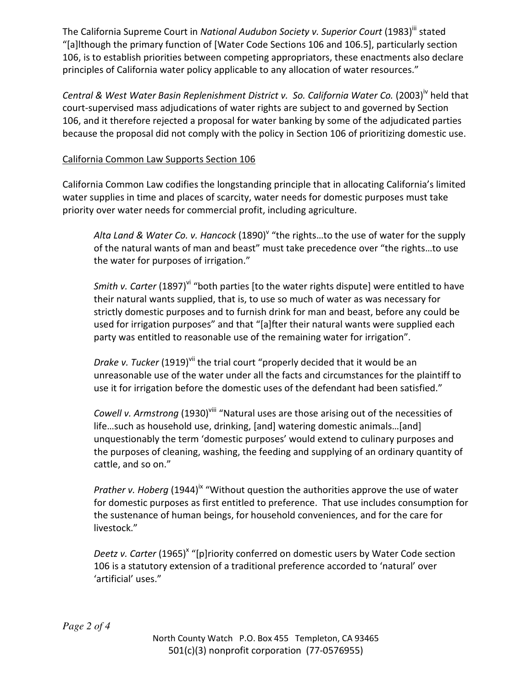The California Supreme Court in National Audubon Society v. Superior Court (1983)<sup>iii</sup> stated "[a]lthough the primary function of [Water Code Sections 106 and 106.5], particularly section 106, is to establish priorities between competing appropriators, these enactments also declare principles of California water policy applicable to any allocation of water resources."

Central & West Water Basin Replenishment District v. So. California Water Co. (2003)<sup>IV</sup> held that court-supervised mass adjudications of water rights are subject to and governed by Section 106, and it therefore rejected a proposal for water banking by some of the adjudicated parties because the proposal did not comply with the policy in Section 106 of prioritizing domestic use.

# California Common Law Supports Section 106

California Common Law codifies the longstanding principle that in allocating California's limited water supplies in time and places of scarcity, water needs for domestic purposes must take priority over water needs for commercial profit, including agriculture.

Alta Land & Water Co. v. Hancock (1890)<sup>v</sup> "the rights...to the use of water for the supply of the natural wants of man and beast" must take precedence over "the rights…to use the water for purposes of irrigation."

Smith v. Carter (1897)<sup>vi</sup> "both parties [to the water rights dispute] were entitled to have their natural wants supplied, that is, to use so much of water as was necessary for strictly domestic purposes and to furnish drink for man and beast, before any could be used for irrigation purposes" and that "[a]fter their natural wants were supplied each party was entitled to reasonable use of the remaining water for irrigation".

Drake v. Tucker (1919)<sup>vii</sup> the trial court "properly decided that it would be an unreasonable use of the water under all the facts and circumstances for the plaintiff to use it for irrigation before the domestic uses of the defendant had been satisfied."

Cowell v. Armstrong (1930)<sup>viii</sup> "Natural uses are those arising out of the necessities of life…such as household use, drinking, [and] watering domestic animals…[and] unquestionably the term 'domestic purposes' would extend to culinary purposes and the purposes of cleaning, washing, the feeding and supplying of an ordinary quantity of cattle, and so on."

*Prather v. Hoberg* (1944)<sup>ix</sup> "Without question the authorities approve the use of water for domestic purposes as first entitled to preference. That use includes consumption for the sustenance of human beings, for household conveniences, and for the care for livestock."

Deetz v. Carter (1965)<sup>x</sup> "[p]riority conferred on domestic users by Water Code section 106 is a statutory extension of a traditional preference accorded to 'natural' over 'artificial' uses."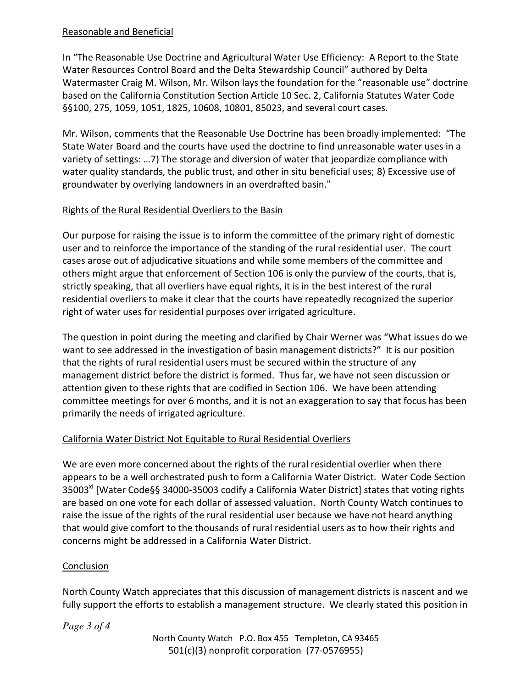### Reasonable and Beneficial

In "The Reasonable Use Doctrine and Agricultural Water Use Efficiency: A Report to the State Water Resources Control Board and the Delta Stewardship Council" authored by Delta Watermaster Craig M. Wilson, Mr. Wilson lays the foundation for the "reasonable use" doctrine based on the California Constitution Section Article 10 Sec. 2, California Statutes Water Code §§100, 275, 1059, 1051, 1825, 10608, 10801, 85023, and several court cases.

Mr. Wilson, comments that the Reasonable Use Doctrine has been broadly implemented: "The State Water Board and the courts have used the doctrine to find unreasonable water uses in a variety of settings: …7) The storage and diversion of water that jeopardize compliance with water quality standards, the public trust, and other in situ beneficial uses; 8) Excessive use of groundwater by overlying landowners in an overdrafted basin."

## Rights of the Rural Residential Overliers to the Basin

Our purpose for raising the issue is to inform the committee of the primary right of domestic user and to reinforce the importance of the standing of the rural residential user. The court cases arose out of adjudicative situations and while some members of the committee and others might argue that enforcement of Section 106 is only the purview of the courts, that is, strictly speaking, that all overliers have equal rights, it is in the best interest of the rural residential overliers to make it clear that the courts have repeatedly recognized the superior right of water uses for residential purposes over irrigated agriculture.

The question in point during the meeting and clarified by Chair Werner was "What issues do we want to see addressed in the investigation of basin management districts?" It is our position that the rights of rural residential users must be secured within the structure of any management district before the district is formed. Thus far, we have not seen discussion or attention given to these rights that are codified in Section 106. We have been attending committee meetings for over 6 months, and it is not an exaggeration to say that focus has been primarily the needs of irrigated agriculture.

## California Water District Not Equitable to Rural Residential Overliers

We are even more concerned about the rights of the rural residential overlier when there appears to be a well orchestrated push to form a California Water District. Water Code Section 35003<sup>xi</sup> [Water Code§§ 34000-35003 codify a California Water District] states that voting rights are based on one vote for each dollar of assessed valuation. North County Watch continues to raise the issue of the rights of the rural residential user because we have not heard anything that would give comfort to the thousands of rural residential users as to how their rights and concerns might be addressed in a California Water District.

## Conclusion

North County Watch appreciates that this discussion of management districts is nascent and we fully support the efforts to establish a management structure. We clearly stated this position in

*Page 3 of 4*